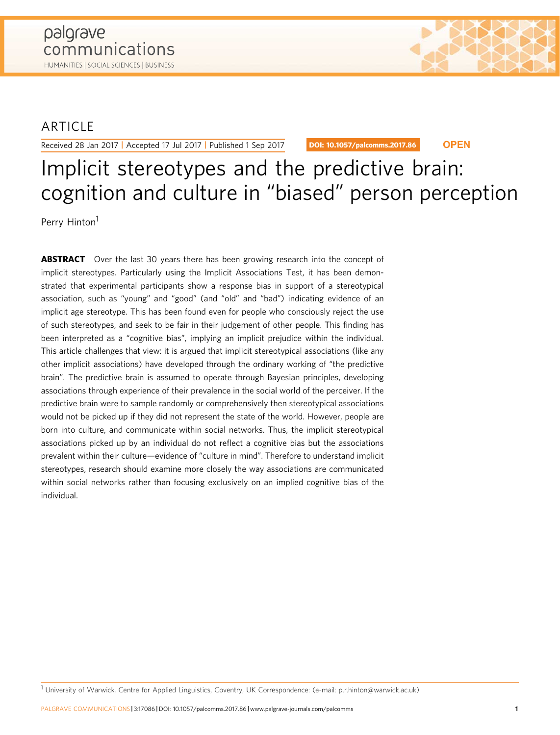# **ARTICLE**

Received 28 Jan 2017 | Accepted 17 Jul 2017 | Published 1 Sep 2017

DOI: [10.1057/palcomms.2017.86](http://dx.doi.org/10.1057/palcomms.2017.86) **OPEN**

# Implicit stereotypes and the predictive brain: cognition and culture in "biased" person perception

Perry Hinton<sup>1</sup>

**ABSTRACT** Over the last 30 years there has been growing research into the concept of implicit stereotypes. Particularly using the Implicit Associations Test, it has been demonstrated that experimental participants show a response bias in support of a stereotypical association, such as "young" and "good" (and "old" and "bad") indicating evidence of an implicit age stereotype. This has been found even for people who consciously reject the use of such stereotypes, and seek to be fair in their judgement of other people. This finding has been interpreted as a "cognitive bias", implying an implicit prejudice within the individual. This article challenges that view: it is argued that implicit stereotypical associations (like any other implicit associations) have developed through the ordinary working of "the predictive brain". The predictive brain is assumed to operate through Bayesian principles, developing associations through experience of their prevalence in the social world of the perceiver. If the predictive brain were to sample randomly or comprehensively then stereotypical associations would not be picked up if they did not represent the state of the world. However, people are born into culture, and communicate within social networks. Thus, the implicit stereotypical associations picked up by an individual do not reflect a cognitive bias but the associations prevalent within their culture—evidence of "culture in mind". Therefore to understand implicit stereotypes, research should examine more closely the way associations are communicated within social networks rather than focusing exclusively on an implied cognitive bias of the individual.

 $1$  University of Warwick, Centre for Applied Linguistics, Coventry, UK Correspondence: (e-mail: [p.r.hinton@warwick.ac.uk\)](mailto:p.r.hinton@warwick.ac.uk)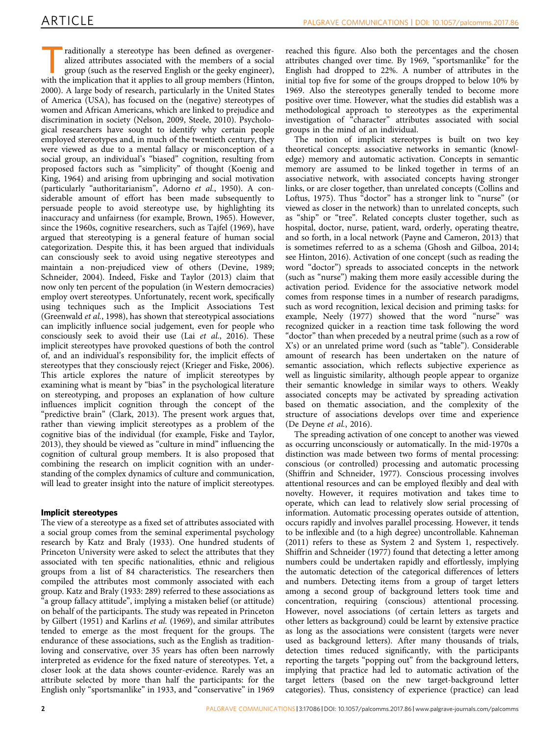reached this figure. Also both the percentages and the chosen attributes changed over time. By 1969, "sportsmanlike" for the English had dropped to 22%. A number of attributes in the initial top five for some of the groups dropped to below 10% by 1969. Also the stereotypes generally tended to become more positive over time. However, what the studies did establish was a methodological approach to stereotypes as the experimental investigation of "character" attributes associated with social

The notion of implicit stereotypes is built on two key theoretical concepts: associative networks in semantic (knowledge) memory and automatic activation. Concepts in semantic memory are assumed to be linked together in terms of an associative network, with associated concepts having stronger links, or are closer together, than unrelated concepts [\(Collins and](#page-7-0) [Loftus, 1975](#page-7-0)). Thus "doctor" has a stronger link to "nurse" (or viewed as closer in the network) than to unrelated concepts, such as "ship" or "tree". Related concepts cluster together, such as hospital, doctor, nurse, patient, ward, orderly, operating theatre, and so forth, in a local network ([Payne and Cameron, 2013\)](#page-8-0) that is sometimes referred to as a schema ([Ghosh and Gilboa, 2014;](#page-8-0) see [Hinton, 2016\)](#page-8-0). Activation of one concept (such as reading the word "doctor") spreads to associated concepts in the network (such as "nurse") making them more easily accessible during the activation period. Evidence for the associative network model comes from response times in a number of research paradigms,

groups in the mind of an individual.

raditionally a stereotype has been defined as overgeneralized attributes associated with the members of a social group (such as the reserved English or the geeky engineer), with the implication that it applies to all group members [\(Hinton,](#page-8-0) [2000\)](#page-8-0). A large body of research, particularly in the United States of America (USA), has focused on the (negative) stereotypes of women and African Americans, which are linked to prejudice and discrimination in society [\(Nelson, 2009](#page-8-0), [Steele, 2010\)](#page-8-0). Psychological researchers have sought to identify why certain people employed stereotypes and, in much of the twentieth century, they were viewed as due to a mental fallacy or misconception of a social group, an individual's "biased" cognition, resulting from proposed factors such as "simplicity" of thought ([Koenig and](#page-8-0) [King, 1964\)](#page-8-0) and arising from upbringing and social motivation (particularly "authoritarianism", [Adorno](#page-7-0) et al., 1950). A considerable amount of effort has been made subsequently to persuade people to avoid stereotype use, by highlighting its inaccuracy and unfairness (for example, [Brown, 1965](#page-7-0)). However, since the 1960s, cognitive researchers, such as [Tajfel \(1969\)](#page-8-0), have argued that stereotyping is a general feature of human social categorization. Despite this, it has been argued that individuals can consciously seek to avoid using negative stereotypes and maintain a non-prejudiced view of others [\(Devine, 1989;](#page-7-0) [Schneider, 2004\)](#page-8-0). Indeed, [Fiske and Taylor \(2013\)](#page-7-0) claim that now only ten percent of the population (in Western democracies) employ overt stereotypes. Unfortunately, recent work, specifically using techniques such as the Implicit Associations Test ([Greenwald](#page-8-0) et al., 1998), has shown that stereotypical associations can implicitly influence social judgement, even for people who consciously seek to avoid their use (Lai et al.[, 2016\)](#page-8-0). These implicit stereotypes have provoked questions of both the control of, and an individual's responsibility for, the implicit effects of stereotypes that they consciously reject ([Krieger and Fiske, 2006](#page-8-0)). This article explores the nature of implicit stereotypes by examining what is meant by "bias" in the psychological literature on stereotyping, and proposes an explanation of how culture influences implicit cognition through the concept of the "predictive brain" [\(Clark, 2013](#page-7-0)). The present work argues that, rather than viewing implicit stereotypes as a problem of the cognitive bias of the individual (for example, [Fiske and Taylor,](#page-7-0) [2013\)](#page-7-0), they should be viewed as "culture in mind" influencing the cognition of cultural group members. It is also proposed that combining the research on implicit cognition with an understanding of the complex dynamics of culture and communication, will lead to greater insight into the nature of implicit stereotypes.

# Implicit stereotypes

The view of a stereotype as a fixed set of attributes associated with a social group comes from the seminal experimental psychology research by [Katz and Braly \(1933\)](#page-8-0). One hundred students of Princeton University were asked to select the attributes that they associated with ten specific nationalities, ethnic and religious groups from a list of 84 characteristics. The researchers then compiled the attributes most commonly associated with each group. [Katz and Braly \(1933:](#page-8-0) 289) referred to these associations as "a group fallacy attitude", implying a mistaken belief (or attitude) on behalf of the participants. The study was repeated in Princeton by [Gilbert \(1951\)](#page-8-0) and [Karlins](#page-8-0) et al. (1969), and similar attributes tended to emerge as the most frequent for the groups. The endurance of these associations, such as the English as traditionloving and conservative, over 35 years has often been narrowly interpreted as evidence for the fixed nature of stereotypes. Yet, a closer look at the data shows counter-evidence. Rarely was an attribute selected by more than half the participants: for the English only "sportsmanlike" in 1933, and "conservative" in 1969

such as word recognition, lexical decision and priming tasks: for example, [Neely \(1977\)](#page-8-0) showed that the word "nurse" was

recognized quicker in a reaction time task following the word "doctor" than when preceded by a neutral prime (such as a row of X's) or an unrelated prime word (such as "table"). Considerable amount of research has been undertaken on the nature of semantic association, which reflects subjective experience as well as linguistic similarity, although people appear to organize their semantic knowledge in similar ways to others. Weakly associated concepts may be activated by spreading activation based on thematic association, and the complexity of the structure of associations develops over time and experience ([De Deyne](#page-7-0) et al., 2016).

The spreading activation of one concept to another was viewed as occurring unconsciously or automatically. In the mid-1970s a distinction was made between two forms of mental processing: conscious (or controlled) processing and automatic processing ([Shiffrin and Schneider, 1977\)](#page-8-0). Conscious processing involves attentional resources and can be employed flexibly and deal with novelty. However, it requires motivation and takes time to operate, which can lead to relatively slow serial processing of information. Automatic processing operates outside of attention, occurs rapidly and involves parallel processing. However, it tends to be inflexible and (to a high degree) uncontrollable. [Kahneman](#page-8-0) [\(2011\)](#page-8-0) refers to these as System 2 and System 1, respectively. [Shiffrin and Schneider \(1977\)](#page-8-0) found that detecting a letter among numbers could be undertaken rapidly and effortlessly, implying the automatic detection of the categorical differences of letters and numbers. Detecting items from a group of target letters among a second group of background letters took time and concentration, requiring (conscious) attentional processing. However, novel associations (of certain letters as targets and other letters as background) could be learnt by extensive practice as long as the associations were consistent (targets were never used as background letters). After many thousands of trials, detection times reduced significantly, with the participants reporting the targets "popping out" from the background letters, implying that practice had led to automatic activation of the target letters (based on the new target-background letter categories). Thus, consistency of experience (practice) can lead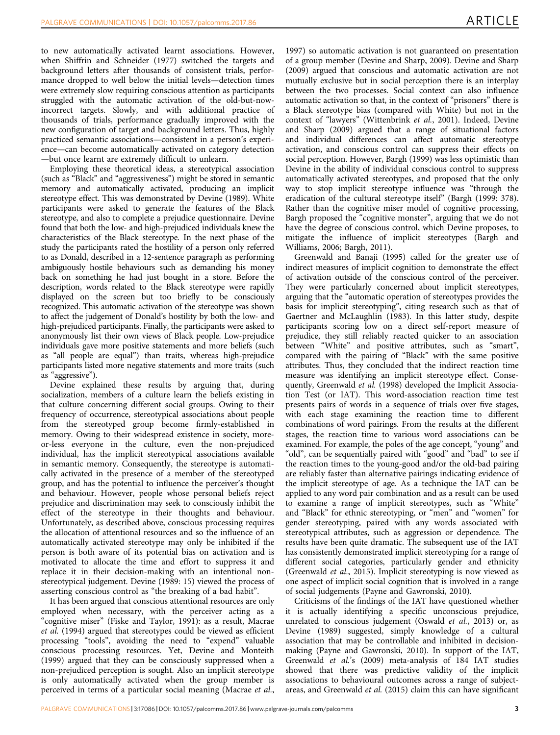to new automatically activated learnt associations. However, when [Shiffrin and Schneider \(1977\)](#page-8-0) switched the targets and background letters after thousands of consistent trials, performance dropped to well below the initial levels—detection times were extremely slow requiring conscious attention as participants struggled with the automatic activation of the old-but-nowincorrect targets. Slowly, and with additional practice of thousands of trials, performance gradually improved with the new configuration of target and background letters. Thus, highly practiced semantic associations—consistent in a person's experience—can become automatically activated on category detection —but once learnt are extremely difficult to unlearn.

Employing these theoretical ideas, a stereotypical association (such as "Black" and "aggressiveness") might be stored in semantic memory and automatically activated, producing an implicit stereotype effect. This was demonstrated by [Devine \(1989\).](#page-7-0) White participants were asked to generate the features of the Black stereotype, and also to complete a prejudice questionnaire. Devine found that both the low- and high-prejudiced individuals knew the characteristics of the Black stereotype. In the next phase of the study the participants rated the hostility of a person only referred to as Donald, described in a 12-sentence paragraph as performing ambiguously hostile behaviours such as demanding his money back on something he had just bought in a store. Before the description, words related to the Black stereotype were rapidly displayed on the screen but too briefly to be consciously recognized. This automatic activation of the stereotype was shown to affect the judgement of Donald's hostility by both the low- and high-prejudiced participants. Finally, the participants were asked to anonymously list their own views of Black people. Low-prejudice individuals gave more positive statements and more beliefs (such as "all people are equal") than traits, whereas high-prejudice participants listed more negative statements and more traits (such as "aggressive").

Devine explained these results by arguing that, during socialization, members of a culture learn the beliefs existing in that culture concerning different social groups. Owing to their frequency of occurrence, stereotypical associations about people from the stereotyped group become firmly-established in memory. Owing to their widespread existence in society, moreor-less everyone in the culture, even the non-prejudiced individual, has the implicit stereotypical associations available in semantic memory. Consequently, the stereotype is automatically activated in the presence of a member of the stereotyped group, and has the potential to influence the perceiver's thought and behaviour. However, people whose personal beliefs reject prejudice and discrimination may seek to consciously inhibit the effect of the stereotype in their thoughts and behaviour. Unfortunately, as described above, conscious processing requires the allocation of attentional resources and so the influence of an automatically activated stereotype may only be inhibited if the person is both aware of its potential bias on activation and is motivated to allocate the time and effort to suppress it and replace it in their decision-making with an intentional nonstereotypical judgement. [Devine \(1989:](#page-7-0) 15) viewed the process of asserting conscious control as "the breaking of a bad habit".

It has been argued that conscious attentional resources are only employed when necessary, with the perceiver acting as a "cognitive miser" [\(Fiske and Taylor, 1991\)](#page-7-0): as a result, [Macrae](#page-8-0) et al. [\(1994\)](#page-8-0) argued that stereotypes could be viewed as efficient processing "tools", avoiding the need to "expend" valuable conscious processing resources. Yet, [Devine and Monteith](#page-7-0) [\(1999\)](#page-7-0) argued that they can be consciously suppressed when a non-prejudiced perception is sought. Also an implicit stereotype is only automatically activated when the group member is perceived in terms of a particular social meaning ([Macrae](#page-8-0) et al.,

[1997\)](#page-8-0) so automatic activation is not guaranteed on presentation of a group member ([Devine and Sharp, 2009](#page-7-0)). [Devine and Sharp](#page-7-0) [\(2009\)](#page-7-0) argued that conscious and automatic activation are not mutually exclusive but in social perception there is an interplay between the two processes. Social context can also influence automatic activation so that, in the context of "prisoners" there is a Black stereotype bias (compared with White) but not in the context of "lawyers" [\(Wittenbrink](#page-8-0) et al., 2001). Indeed, [Devine](#page-7-0) [and Sharp \(2009\)](#page-7-0) argued that a range of situational factors and individual differences can affect automatic stereotype activation, and conscious control can suppress their effects on social perception. However, [Bargh \(1999\)](#page-7-0) was less optimistic than Devine in the ability of individual conscious control to suppress automatically activated stereotypes, and proposed that the only way to stop implicit stereotype influence was "through the eradication of the cultural stereotype itself" [\(Bargh \(1999](#page-7-0): 378). Rather than the cognitive miser model of cognitive processing, Bargh proposed the "cognitive monster", arguing that we do not have the degree of conscious control, which Devine proposes, to mitigate the influence of implicit stereotypes ([Bargh and](#page-7-0) [Williams, 2006](#page-7-0); [Bargh, 2011](#page-7-0)).

[Greenwald and Banaji \(1995\)](#page-8-0) called for the greater use of indirect measures of implicit cognition to demonstrate the effect of activation outside of the conscious control of the perceiver. They were particularly concerned about implicit stereotypes, arguing that the "automatic operation of stereotypes provides the basis for implicit stereotyping", citing research such as that of [Gaertner and McLaughlin \(1983\).](#page-8-0) In this latter study, despite participants scoring low on a direct self-report measure of prejudice, they still reliably reacted quicker to an association between "White" and positive attributes, such as "smart", compared with the pairing of "Black" with the same positive attributes. Thus, they concluded that the indirect reaction time measure was identifying an implicit stereotype effect. Conse-quently, [Greenwald](#page-8-0) et al. (1998) developed the Implicit Association Test (or IAT). This word-association reaction time test presents pairs of words in a sequence of trials over five stages, with each stage examining the reaction time to different combinations of word pairings. From the results at the different stages, the reaction time to various word associations can be examined. For example, the poles of the age concept, "young" and "old", can be sequentially paired with "good" and "bad" to see if the reaction times to the young-good and/or the old-bad pairing are reliably faster than alternative pairings indicating evidence of the implicit stereotype of age. As a technique the IAT can be applied to any word pair combination and as a result can be used to examine a range of implicit stereotypes, such as "White" and "Black" for ethnic stereotyping, or "men" and "women" for gender stereotyping, paired with any words associated with stereotypical attributes, such as aggression or dependence. The results have been quite dramatic. The subsequent use of the IAT has consistently demonstrated implicit stereotyping for a range of different social categories, particularly gender and ethnicity ([Greenwald](#page-8-0) et al., 2015). Implicit stereotyping is now viewed as one aspect of implicit social cognition that is involved in a range of social judgements [\(Payne and Gawronski, 2010](#page-8-0)).

Criticisms of the findings of the IAT have questioned whether it is actually identifying a specific unconscious prejudice, unrelated to conscious judgement ([Oswald](#page-8-0) et al., 2013) or, as [Devine \(1989\)](#page-7-0) suggested, simply knowledge of a cultural association that may be controllable and inhibited in decisionmaking ([Payne and Gawronski, 2010\)](#page-8-0). In support of the IAT, [Greenwald](#page-8-0) et al.'s (2009) meta-analysis of 184 IAT studies showed that there was predictive validity of the implicit associations to behavioural outcomes across a range of subjectareas, and [Greenwald](#page-8-0) et al. (2015) claim this can have significant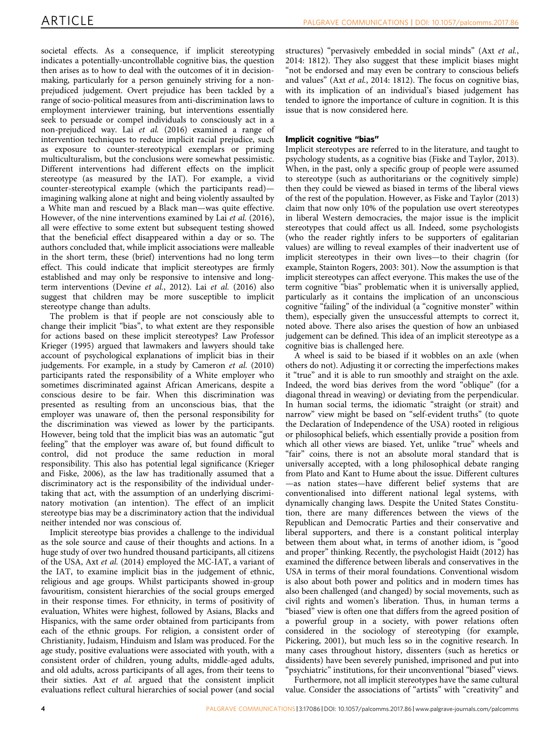societal effects. As a consequence, if implicit stereotyping indicates a potentially-uncontrollable cognitive bias, the question then arises as to how to deal with the outcomes of it in decisionmaking, particularly for a person genuinely striving for a nonprejudiced judgement. Overt prejudice has been tackled by a range of socio-political measures from anti-discrimination laws to employment interviewer training, but interventions essentially seek to persuade or compel individuals to consciously act in a non-prejudiced way. Lai et al. [\(2016\)](#page-8-0) examined a range of intervention techniques to reduce implicit racial prejudice, such as exposure to counter-stereotypical exemplars or priming multiculturalism, but the conclusions were somewhat pessimistic. Different interventions had different effects on the implicit stereotype (as measured by the IAT). For example, a vivid counter-stereotypical example (which the participants read) imagining walking alone at night and being violently assaulted by a White man and rescued by a Black man—was quite effective. However, of the nine interventions examined by Lai et al. [\(2016\),](#page-8-0) all were effective to some extent but subsequent testing showed that the beneficial effect disappeared within a day or so. The authors concluded that, while implicit associations were malleable in the short term, these (brief) interventions had no long term effect. This could indicate that implicit stereotypes are firmly established and may only be responsive to intensive and longterm interventions [\(Devine](#page-7-0) et al., 2012). Lai et al. [\(2016\)](#page-8-0) also suggest that children may be more susceptible to implicit stereotype change than adults.

The problem is that if people are not consciously able to change their implicit "bias", to what extent are they responsible for actions based on these implicit stereotypes? Law Professor [Krieger \(1995\)](#page-8-0) argued that lawmakers and lawyers should take account of psychological explanations of implicit bias in their judgements. For example, in a study by [Cameron](#page-7-0) et al. (2010) participants rated the responsibility of a White employer who sometimes discriminated against African Americans, despite a conscious desire to be fair. When this discrimination was presented as resulting from an unconscious bias, that the employer was unaware of, then the personal responsibility for the discrimination was viewed as lower by the participants. However, being told that the implicit bias was an automatic "gut feeling" that the employer was aware of, but found difficult to control, did not produce the same reduction in moral responsibility. This also has potential legal significance ([Krieger](#page-8-0) [and Fiske, 2006\)](#page-8-0), as the law has traditionally assumed that a discriminatory act is the responsibility of the individual undertaking that act, with the assumption of an underlying discriminatory motivation (an intention). The effect of an implicit stereotype bias may be a discriminatory action that the individual neither intended nor was conscious of.

Implicit stereotype bias provides a challenge to the individual as the sole source and cause of their thoughts and actions. In a huge study of over two hundred thousand participants, all citizens of the USA, Axt et al. [\(2014\)](#page-7-0) employed the MC-IAT, a variant of the IAT, to examine implicit bias in the judgement of ethnic, religious and age groups. Whilst participants showed in-group favouritism, consistent hierarchies of the social groups emerged in their response times. For ethnicity, in terms of positivity of evaluation, Whites were highest, followed by Asians, Blacks and Hispanics, with the same order obtained from participants from each of the ethnic groups. For religion, a consistent order of Christianity, Judaism, Hinduism and Islam was produced. For the age study, positive evaluations were associated with youth, with a consistent order of children, young adults, middle-aged adults, and old adults, across participants of all ages, from their teens to their sixties. Axt et al. argued that the consistent implicit evaluations reflect cultural hierarchies of social power (and social

structures) "pervasively embedded in social minds" (Axt [et al.](#page-7-0), [2014:](#page-7-0) 1812). They also suggest that these implicit biases might "not be endorsed and may even be contrary to conscious beliefs and values" (Axt et al.[, 2014:](#page-7-0) 1812). The focus on cognitive bias, with its implication of an individual's biased judgement has tended to ignore the importance of culture in cognition. It is this issue that is now considered here.

# Implicit cognitive "bias"

Implicit stereotypes are referred to in the literature, and taught to psychology students, as a cognitive bias ([Fiske and Taylor, 2013](#page-7-0)). When, in the past, only a specific group of people were assumed to stereotype (such as authoritarians or the cognitively simple) then they could be viewed as biased in terms of the liberal views of the rest of the population. However, as [Fiske and Taylor \(2013\)](#page-7-0) claim that now only 10% of the population use overt stereotypes in liberal Western democracies, the major issue is the implicit stereotypes that could affect us all. Indeed, some psychologists (who the reader rightly infers to be supporters of egalitarian values) are willing to reveal examples of their inadvertent use of implicit stereotypes in their own lives—to their chagrin (for example, [Stainton Rogers, 2003:](#page-8-0) 301). Now the assumption is that implicit stereotypes can affect everyone. This makes the use of the term cognitive "bias" problematic when it is universally applied, particularly as it contains the implication of an unconscious cognitive "failing" of the individual (a "cognitive monster" within them), especially given the unsuccessful attempts to correct it, noted above. There also arises the question of how an unbiased judgement can be defined. This idea of an implicit stereotype as a cognitive bias is challenged here.

A wheel is said to be biased if it wobbles on an axle (when others do not). Adjusting it or correcting the imperfections makes it "true" and it is able to run smoothly and straight on the axle. Indeed, the word bias derives from the word "oblique" (for a diagonal thread in weaving) or deviating from the perpendicular. In human social terms, the idiomatic "straight (or strait) and narrow" view might be based on "self-evident truths" (to quote the Declaration of Independence of the USA) rooted in religious or philosophical beliefs, which essentially provide a position from which all other views are biased. Yet, unlike "true" wheels and "fair" coins, there is not an absolute moral standard that is universally accepted, with a long philosophical debate ranging from Plato and Kant to Hume about the issue. Different cultures —as nation states—have different belief systems that are conventionalised into different national legal systems, with dynamically changing laws. Despite the United States Constitution, there are many differences between the views of the Republican and Democratic Parties and their conservative and liberal supporters, and there is a constant political interplay between them about what, in terms of another idiom, is "good and proper" thinking. Recently, the psychologist [Haidt \(2012\)](#page-8-0) has examined the difference between liberals and conservatives in the USA in terms of their moral foundations. Conventional wisdom is also about both power and politics and in modern times has also been challenged (and changed) by social movements, such as civil rights and women's liberation. Thus, in human terms a "biased" view is often one that differs from the agreed position of a powerful group in a society, with power relations often considered in the sociology of stereotyping (for example, [Pickering, 2001](#page-8-0)), but much less so in the cognitive research. In many cases throughout history, dissenters (such as heretics or dissidents) have been severely punished, imprisoned and put into "psychiatric" institutions, for their unconventional "biased" views.

Furthermore, not all implicit stereotypes have the same cultural value. Consider the associations of "artists" with "creativity" and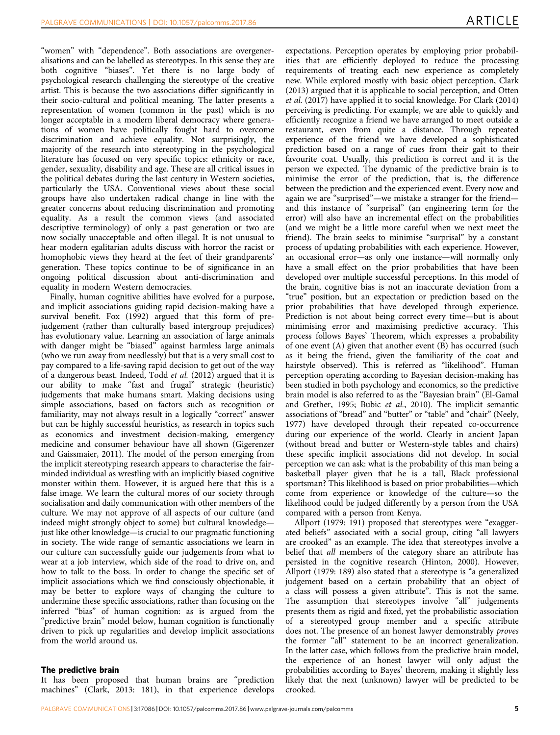"women" with "dependence". Both associations are overgeneralisations and can be labelled as stereotypes. In this sense they are both cognitive "biases". Yet there is no large body of psychological research challenging the stereotype of the creative artist. This is because the two associations differ significantly in their socio-cultural and political meaning. The latter presents a representation of women (common in the past) which is no longer acceptable in a modern liberal democracy where generations of women have politically fought hard to overcome discrimination and achieve equality. Not surprisingly, the majority of the research into stereotyping in the psychological literature has focused on very specific topics: ethnicity or race, gender, sexuality, disability and age. These are all critical issues in the political debates during the last century in Western societies, particularly the USA. Conventional views about these social groups have also undertaken radical change in line with the greater concerns about reducing discrimination and promoting equality. As a result the common views (and associated descriptive terminology) of only a past generation or two are now socially unacceptable and often illegal. It is not unusual to hear modern egalitarian adults discuss with horror the racist or homophobic views they heard at the feet of their grandparents' generation. These topics continue to be of significance in an ongoing political discussion about anti-discrimination and equality in modern Western democracies.

Finally, human cognitive abilities have evolved for a purpose, and implicit associations guiding rapid decision-making have a survival benefit. [Fox \(1992\)](#page-7-0) argued that this form of prejudgement (rather than culturally based intergroup prejudices) has evolutionary value. Learning an association of large animals with danger might be "biased" against harmless large animals (who we run away from needlessly) but that is a very small cost to pay compared to a life-saving rapid decision to get out of the way of a dangerous beast. Indeed, Todd et al. [\(2012\)](#page-8-0) argued that it is our ability to make "fast and frugal" strategic (heuristic) judgements that make humans smart. Making decisions using simple associations, based on factors such as recognition or familiarity, may not always result in a logically "correct" answer but can be highly successful heuristics, as research in topics such as economics and investment decision-making, emergency medicine and consumer behaviour have all shown [\(Gigerenzer](#page-8-0) [and Gaissmaier, 2011](#page-8-0)). The model of the person emerging from the implicit stereotyping research appears to characterise the fairminded individual as wrestling with an implicitly biased cognitive monster within them. However, it is argued here that this is a false image. We learn the cultural mores of our society through socialisation and daily communication with other members of the culture. We may not approve of all aspects of our culture (and indeed might strongly object to some) but cultural knowledge just like other knowledge—is crucial to our pragmatic functioning in society. The wide range of semantic associations we learn in our culture can successfully guide our judgements from what to wear at a job interview, which side of the road to drive on, and how to talk to the boss. In order to change the specific set of implicit associations which we find consciously objectionable, it may be better to explore ways of changing the culture to undermine these specific associations, rather than focusing on the inferred "bias" of human cognition: as is argued from the "predictive brain" model below, human cognition is functionally driven to pick up regularities and develop implicit associations from the world around us.

### The predictive brain

It has been proposed that human brains are "prediction machines" [\(Clark, 2013](#page-7-0): 181), in that experience develops

expectations. Perception operates by employing prior probabilities that are efficiently deployed to reduce the processing requirements of treating each new experience as completely new. While explored mostly with basic object perception, [Clark](#page-7-0) [\(2013\)](#page-7-0) argued that it is applicable to social perception, and [Otten](#page-8-0) et al. [\(2017\)](#page-8-0) have applied it to social knowledge. For [Clark \(2014\)](#page-7-0) perceiving is predicting. For example, we are able to quickly and efficiently recognize a friend we have arranged to meet outside a restaurant, even from quite a distance. Through repeated experience of the friend we have developed a sophisticated prediction based on a range of cues from their gait to their favourite coat. Usually, this prediction is correct and it is the person we expected. The dynamic of the predictive brain is to minimise the error of the prediction, that is, the difference between the prediction and the experienced event. Every now and again we are "surprised"—we mistake a stranger for the friend and this instance of "surprisal" (an engineering term for the error) will also have an incremental effect on the probabilities (and we might be a little more careful when we next meet the friend). The brain seeks to minimise "surprisal" by a constant process of updating probabilities with each experience. However, an occasional error—as only one instance—will normally only have a small effect on the prior probabilities that have been developed over multiple successful perceptions. In this model of the brain, cognitive bias is not an inaccurate deviation from a "true" position, but an expectation or prediction based on the prior probabilities that have developed through experience. Prediction is not about being correct every time—but is about minimising error and maximising predictive accuracy. This process follows Bayes' Theorem, which expresses a probability of one event (A) given that another event (B) has occurred (such as it being the friend, given the familiarity of the coat and hairstyle observed). This is referred as "likelihood". Human perception operating according to Bayesian decision-making has been studied in both psychology and economics, so the predictive brain model is also referred to as the "Bayesian brain" ([El-Gamal](#page-7-0) [and Grether, 1995;](#page-7-0) Bubic et al.[, 2010\)](#page-7-0). The implicit semantic associations of "bread" and "butter" or "table" and "chair" [\(Neely,](#page-8-0) [1977\)](#page-8-0) have developed through their repeated co-occurrence during our experience of the world. Clearly in ancient Japan (without bread and butter or Western-style tables and chairs) these specific implicit associations did not develop. In social perception we can ask: what is the probability of this man being a basketball player given that he is a tall, Black professional sportsman? This likelihood is based on prior probabilities—which come from experience or knowledge of the culture—so the likelihood could be judged differently by a person from the USA compared with a person from Kenya.

[Allport \(1979](#page-7-0): 191) proposed that stereotypes were "exaggerated beliefs" associated with a social group, citing "all lawyers are crooked" as an example. The idea that stereotypes involve a belief that all members of the category share an attribute has persisted in the cognitive research ([Hinton, 2000\)](#page-8-0). However, [Allport \(1979](#page-7-0): 189) also stated that a stereotype is "a generalized judgement based on a certain probability that an object of a class will possess a given attribute". This is not the same. The assumption that stereotypes involve "all" judgements presents them as rigid and fixed, yet the probabilistic association of a stereotyped group member and a specific attribute does not. The presence of an honest lawyer demonstrably proves the former "all" statement to be an incorrect generalization. In the latter case, which follows from the predictive brain model, the experience of an honest lawyer will only adjust the probabilities according to Bayes' theorem, making it slightly less likely that the next (unknown) lawyer will be predicted to be crooked.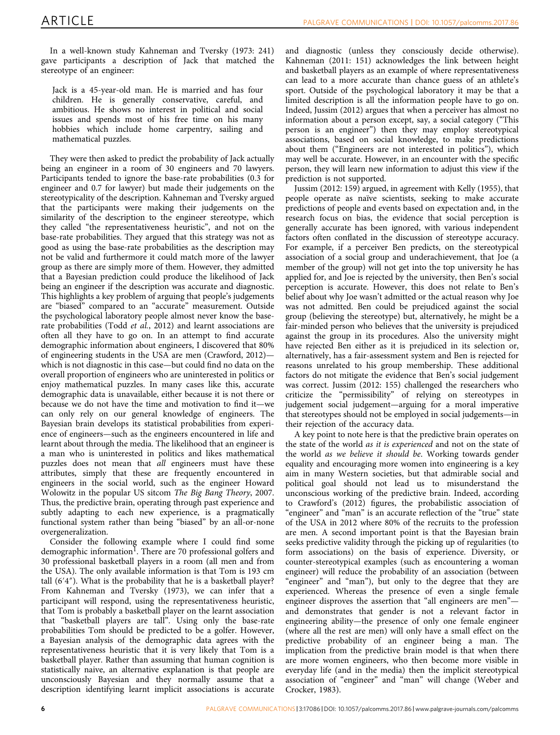In a well-known study [Kahneman and Tversky \(1973](#page-8-0): 241) gave participants a description of Jack that matched the stereotype of an engineer:

Jack is a 45-year-old man. He is married and has four children. He is generally conservative, careful, and ambitious. He shows no interest in political and social issues and spends most of his free time on his many hobbies which include home carpentry, sailing and mathematical puzzles.

They were then asked to predict the probability of Jack actually being an engineer in a room of 30 engineers and 70 lawyers. Participants tended to ignore the base-rate probabilities (0.3 for engineer and 0.7 for lawyer) but made their judgements on the stereotypicality of the description. Kahneman and Tversky argued that the participants were making their judgements on the similarity of the description to the engineer stereotype, which they called "the representativeness heuristic", and not on the base-rate probabilities. They argued that this strategy was not as good as using the base-rate probabilities as the description may not be valid and furthermore it could match more of the lawyer group as there are simply more of them. However, they admitted that a Bayesian prediction could produce the likelihood of Jack being an engineer if the description was accurate and diagnostic. This highlights a key problem of arguing that people's judgements are "biased" compared to an "accurate" measurement. Outside the psychological laboratory people almost never know the baserate probabilities (Todd et al.[, 2012\)](#page-8-0) and learnt associations are often all they have to go on. In an attempt to find accurate demographic information about engineers, I discovered that 80% of engineering students in the USA are men [\(Crawford, 2012\)](#page-7-0) which is not diagnostic in this case—but could find no data on the overall proportion of engineers who are uninterested in politics or enjoy mathematical puzzles. In many cases like this, accurate demographic data is unavailable, either because it is not there or because we do not have the time and motivation to find it—we can only rely on our general knowledge of engineers. The Bayesian brain develops its statistical probabilities from experience of engineers—such as the engineers encountered in life and learnt about through the media. The likelihood that an engineer is a man who is uninterested in politics and likes mathematical puzzles does not mean that all engineers must have these attributes, simply that these are frequently encountered in engineers in the social world, such as the engineer Howard Wolowitz in the popular US sitcom The Big Bang Theory, 2007. Thus, the predictive brain, operating through past experience and subtly adapting to each new experience, is a pragmatically functional system rather than being "biased" by an all-or-none overgeneralization.

Consider the following example where I could find some demographic information<sup>1</sup>. There are 70 professional golfers and 30 professional basketball players in a room (all men and from the USA). The only available information is that Tom is 193 cm tall (6′4″). What is the probability that he is a basketball player? From [Kahneman and Tversky \(1973\),](#page-8-0) we can infer that a participant will respond, using the representativeness heuristic, that Tom is probably a basketball player on the learnt association that "basketball players are tall". Using only the base-rate probabilities Tom should be predicted to be a golfer. However, a Bayesian analysis of the demographic data agrees with the representativeness heuristic that it is very likely that Tom is a basketball player. Rather than assuming that human cognition is statistically naive, an alternative explanation is that people are unconsciously Bayesian and they normally assume that a description identifying learnt implicit associations is accurate and diagnostic (unless they consciously decide otherwise). [Kahneman \(2011](#page-8-0): 151) acknowledges the link between height and basketball players as an example of where representativeness can lead to a more accurate than chance guess of an athlete's sport. Outside of the psychological laboratory it may be that a limited description is all the information people have to go on. Indeed, [Jussim \(2012\)](#page-8-0) argues that when a perceiver has almost no information about a person except, say, a social category ("This person is an engineer") then they may employ stereotypical associations, based on social knowledge, to make predictions about them ("Engineers are not interested in politics"), which may well be accurate. However, in an encounter with the specific person, they will learn new information to adjust this view if the prediction is not supported.

[Jussim \(2012:](#page-8-0) 159) argued, in agreement with [Kelly \(1955\)](#page-8-0), that people operate as naïve scientists, seeking to make accurate predictions of people and events based on expectation and, in the research focus on bias, the evidence that social perception is generally accurate has been ignored, with various independent factors often conflated in the discussion of stereotype accuracy. For example, if a perceiver Ben predicts, on the stereotypical association of a social group and underachievement, that Joe (a member of the group) will not get into the top university he has applied for, and Joe is rejected by the university, then Ben's social perception is accurate. However, this does not relate to Ben's belief about why Joe wasn't admitted or the actual reason why Joe was not admitted. Ben could be prejudiced against the social group (believing the stereotype) but, alternatively, he might be a fair-minded person who believes that the university is prejudiced against the group in its procedures. Also the university might have rejected Ben either as it is prejudiced in its selection or, alternatively, has a fair-assessment system and Ben is rejected for reasons unrelated to his group membership. These additional factors do not mitigate the evidence that Ben's social judgement was correct. [Jussim \(2012:](#page-8-0) 155) challenged the researchers who criticize the "permissibility" of relying on stereotypes in judgement social judgement—arguing for a moral imperative that stereotypes should not be employed in social judgements—in their rejection of the accuracy data.

A key point to note here is that the predictive brain operates on the state of the world as it is experienced and not on the state of the world as we believe it should be. Working towards gender equality and encouraging more women into engineering is a key aim in many Western societies, but that admirable social and political goal should not lead us to misunderstand the unconscious working of the predictive brain. Indeed, according to [Crawford](#page-7-0)'s (2012) figures, the probabilistic association of "engineer" and "man" is an accurate reflection of the "true" state of the USA in 2012 where 80% of the recruits to the profession are men. A second important point is that the Bayesian brain seeks predictive validity through the picking up of regularities (to form associations) on the basis of experience. Diversity, or counter-stereotypical examples (such as encountering a woman engineer) will reduce the probability of an association (between "engineer" and "man"), but only to the degree that they are experienced. Whereas the presence of even a single female engineer disproves the assertion that "all engineers are men" and demonstrates that gender is not a relevant factor in engineering ability—the presence of only one female engineer (where all the rest are men) will only have a small effect on the predictive probability of an engineer being a man. The implication from the predictive brain model is that when there are more women engineers, who then become more visible in everyday life (and in the media) then the implicit stereotypical association of "engineer" and "man" will change ([Weber and](#page-8-0) [Crocker, 1983](#page-8-0)).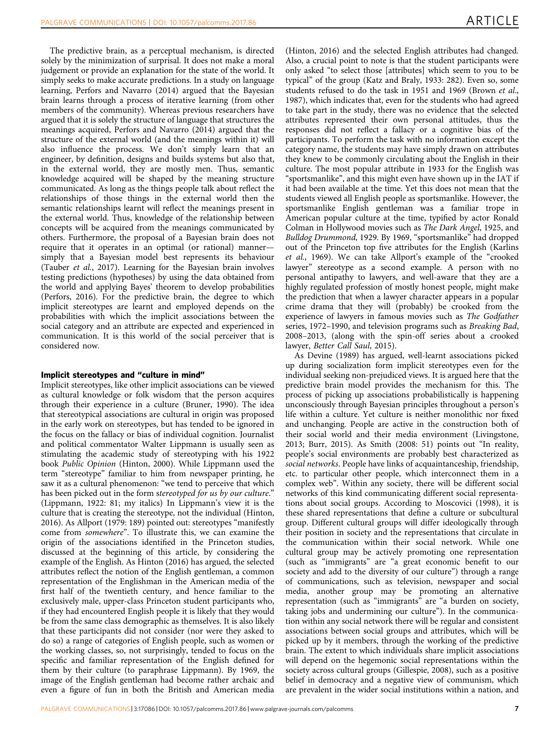The predictive brain, as a perceptual mechanism, is directed solely by the minimization of surprisal. It does not make a moral judgement or provide an explanation for the state of the world. It simply seeks to make accurate predictions. In a study on language learning, [Perfors and Navarro \(2014\)](#page-8-0) argued that the Bayesian brain learns through a process of iterative learning (from other members of the community). Whereas previous researchers have argued that it is solely the structure of language that structures the meanings acquired, [Perfors and Navarro \(2014\)](#page-8-0) argued that the structure of the external world (and the meanings within it) will also influence the process. We don't simply learn that an engineer, by definition, designs and builds systems but also that, in the external world, they are mostly men. Thus, semantic knowledge acquired will be shaped by the meaning structure communicated. As long as the things people talk about reflect the relationships of those things in the external world then the semantic relationships learnt will reflect the meanings present in the external world. Thus, knowledge of the relationship between concepts will be acquired from the meanings communicated by others. Furthermore, the proposal of a Bayesian brain does not require that it operates in an optimal (or rational) manner simply that a Bayesian model best represents its behaviour ([Tauber](#page-8-0) et al., 2017). Learning for the Bayesian brain involves testing predictions (hypotheses) by using the data obtained from the world and applying Bayes' theorem to develop probabilities ([Perfors, 2016\)](#page-8-0). For the predictive brain, the degree to which implicit stereotypes are learnt and employed depends on the probabilities with which the implicit associations between the social category and an attribute are expected and experienced in communication. It is this world of the social perceiver that is considered now.

### Implicit stereotypes and "culture in mind"

Implicit stereotypes, like other implicit associations can be viewed as cultural knowledge or folk wisdom that the person acquires through their experience in a culture [\(Bruner, 1990](#page-7-0)). The idea that stereotypical associations are cultural in origin was proposed in the early work on stereotypes, but has tended to be ignored in the focus on the fallacy or bias of individual cognition. Journalist and political commentator Walter Lippmann is usually seen as stimulating the academic study of stereotyping with his 1922 book Public Opinion ([Hinton, 2000](#page-8-0)). While Lippmann used the term "stereotype" familiar to him from newspaper printing, he saw it as a cultural phenomenon: "we tend to perceive that which has been picked out in the form stereotyped for us by our culture." ([Lippmann, 1922:](#page-8-0) 81; my italics) In Lippmann's view it is the culture that is creating the stereotype, not the individual [\(Hinton,](#page-8-0) [2016\)](#page-8-0). As [Allport \(1979:](#page-7-0) 189) pointed out: stereotypes "manifestly come from somewhere". To illustrate this, we can examine the origin of the associations identified in the Princeton studies, discussed at the beginning of this article, by considering the example of the English. As [Hinton \(2016\)](#page-8-0) has argued, the selected attributes reflect the notion of the English gentleman, a common representation of the Englishman in the American media of the first half of the twentieth century, and hence familiar to the exclusively male, upper-class Princeton student participants who, if they had encountered English people it is likely that they would be from the same class demographic as themselves. It is also likely that these participants did not consider (nor were they asked to do so) a range of categories of English people, such as women or the working classes, so, not surprisingly, tended to focus on the specific and familiar representation of the English defined for them by their culture (to paraphrase Lippmann). By 1969, the image of the English gentleman had become rather archaic and even a figure of fun in both the British and American media

([Hinton, 2016\)](#page-8-0) and the selected English attributes had changed. Also, a crucial point to note is that the student participants were only asked "to select those [attributes] which seem to you to be typical" of the group [\(Katz and Braly, 1933:](#page-8-0) 282). Even so, some students refused to do the task in 1951 and 1969 [\(Brown](#page-7-0) et al., [1987\)](#page-7-0), which indicates that, even for the students who had agreed to take part in the study, there was no evidence that the selected attributes represented their own personal attitudes, thus the responses did not reflect a fallacy or a cognitive bias of the participants. To perform the task with no information except the category name, the students may have simply drawn on attributes they knew to be commonly circulating about the English in their culture. The most popular attribute in 1933 for the English was "sportsmanlike", and this might even have shown up in the IAT if it had been available at the time. Yet this does not mean that the students viewed all English people as sportsmanlike. However, the sportsmanlike English gentleman was a familiar trope in American popular culture at the time, typified by actor Ronald Colman in Hollywood movies such as The Dark Angel, 1925, and Bulldog Drummond, 1929. By 1969, "sportsmanlike" had dropped out of the Princeton top five attributes for the English [\(Karlins](#page-8-0) et al.[, 1969\)](#page-8-0). We can take Allport's example of the "crooked lawyer" stereotype as a second example. A person with no personal antipathy to lawyers, and well-aware that they are a highly regulated profession of mostly honest people, might make the prediction that when a lawyer character appears in a popular crime drama that they will (probably) be crooked from the experience of lawyers in famous movies such as The Godfather series, 1972–1990, and television programs such as Breaking Bad, 2008–2013, (along with the spin-off series about a crooked lawyer, Better Call Saul, 2015).

As [Devine \(1989\)](#page-7-0) has argued, well-learnt associations picked up during socialization form implicit stereotypes even for the individual seeking non-prejudiced views. It is argued here that the predictive brain model provides the mechanism for this. The process of picking up associations probabilistically is happening unconsciously through Bayesian principles throughout a person's life within a culture. Yet culture is neither monolithic nor fixed and unchanging. People are active in the construction both of their social world and their media environment ([Livingstone,](#page-8-0) [2013;](#page-8-0) [Burr, 2015\)](#page-7-0). As [Smith \(2008](#page-8-0): 51) points out "In reality, people's social environments are probably best characterized as social networks. People have links of acquaintanceship, friendship, etc. to particular other people, which interconnect them in a complex web". Within any society, there will be different social networks of this kind communicating different social representations about social groups. According to [Moscovici \(1998\)](#page-8-0), it is these shared representations that define a culture or subcultural group. Different cultural groups will differ ideologically through their position in society and the representations that circulate in the communication within their social network. While one cultural group may be actively promoting one representation (such as "immigrants" are "a great economic benefit to our society and add to the diversity of our culture") through a range of communications, such as television, newspaper and social media, another group may be promoting an alternative representation (such as "immigrants" are "a burden on society, taking jobs and undermining our culture"). In the communication within any social network there will be regular and consistent associations between social groups and attributes, which will be picked up by it members, through the working of the predictive brain. The extent to which individuals share implicit associations will depend on the hegemonic social representations within the society across cultural groups ([Gillespie, 2008](#page-8-0)), such as a positive belief in democracy and a negative view of communism, which are prevalent in the wider social institutions within a nation, and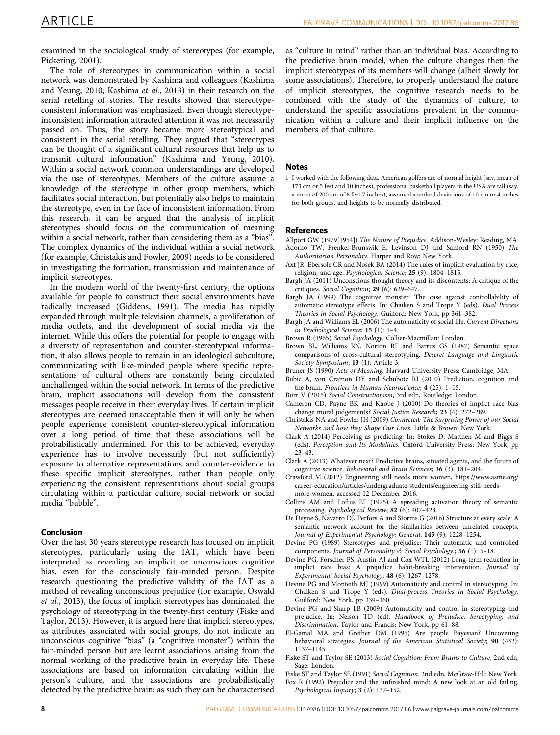<span id="page-7-0"></span>examined in the sociological study of stereotypes (for example, [Pickering, 2001\)](#page-8-0).

The role of stereotypes in communication within a social network was demonstrated by Kashima and colleagues [\(Kashima](#page-8-0) [and Yeung, 2010; Kashima](#page-8-0) et al., 2013) in their research on the serial retelling of stories. The results showed that stereotypeconsistent information was emphasized. Even though stereotypeinconsistent information attracted attention it was not necessarily passed on. Thus, the story became more stereotypical and consistent in the serial retelling. They argued that "stereotypes can be thought of a significant cultural resources that help us to transmit cultural information" ([Kashima and Yeung, 2010](#page-8-0)). Within a social network common understandings are developed via the use of stereotypes. Members of the culture assume a knowledge of the stereotype in other group members, which facilitates social interaction, but potentially also helps to maintain the stereotype, even in the face of inconsistent information. From this research, it can be argued that the analysis of implicit stereotypes should focus on the communication of meaning within a social network, rather than considering them as a "bias". The complex dynamics of the individual within a social network (for example, Christakis and Fowler, 2009) needs to be considered in investigating the formation, transmission and maintenance of implicit stereotypes.

In the modern world of the twenty-first century, the options available for people to construct their social environments have radically increased ([Giddens, 1991\)](#page-8-0). The media has rapidly expanded through multiple television channels, a proliferation of media outlets, and the development of social media via the internet. While this offers the potential for people to engage with a diversity of representation and counter-stereotypical information, it also allows people to remain in an ideological subculture, communicating with like-minded people where specific representations of cultural others are constantly being circulated unchallenged within the social network. In terms of the predictive brain, implicit associations will develop from the consistent messages people receive in their everyday lives. If certain implicit stereotypes are deemed unacceptable then it will only be when people experience consistent counter-stereotypical information over a long period of time that these associations will be probabilistically undermined. For this to be achieved, everyday experience has to involve necessarily (but not sufficiently) exposure to alternative representations and counter-evidence to these specific implicit stereotypes, rather than people only experiencing the consistent representations about social groups circulating within a particular culture, social network or social media "bubble".

## Conclusion

Over the last 30 years stereotype research has focused on implicit stereotypes, particularly using the IAT, which have been interpreted as revealing an implicit or unconscious cognitive bias, even for the consciously fair-minded person. Despite research questioning the predictive validity of the IAT as a method of revealing unconscious prejudice (for example, [Oswald](#page-8-0) et al.[, 2013\)](#page-8-0), the focus of implicit stereotypes has dominated the psychology of stereotyping in the twenty-first century (Fiske and Taylor, 2013). However, it is argued here that implicit stereotypes, as attributes associated with social groups, do not indicate an unconscious cognitive "bias" (a "cognitive monster") within the fair-minded person but are learnt associations arising from the normal working of the predictive brain in everyday life. These associations are based on information circulating within the person's culture, and the associations are probabilistically detected by the predictive brain: as such they can be characterised

as "culture in mind" rather than an individual bias. According to the predictive brain model, when the culture changes then the implicit stereotypes of its members will change (albeit slowly for some associations). Therefore, to properly understand the nature of implicit stereotypes, the cognitive research needs to be combined with the study of the dynamics of culture, to understand the specific associations prevalent in the communication within a culture and their implicit influence on the members of that culture.

#### Notes

1 I worked with the following data. American golfers are of normal height (say, mean of 173 cm or 5 feet and 10 inches), professional basketball players in the USA are tall (say, a mean of 200 cm of 6 feet 7 inches), assumed standard deviations of 10 cm or 4 inches for both groups, and heights to be normally distributed.

#### References

- Allport GW (1979[1954]) The Nature of Prejudice. Addison-Wesley: Reading, MA. Adorno TW, Frenkel-Brunswik E, Levinson DJ and Sanford RN (1950) The
- Authoritarian Personality. Harper and Row: New York. Axt JR, Ebersole CR and Nosek BA (2014) The rules of implicit evaluation by race,
- religion, and age. Psychological Science; 25 (9): 1804–1815.
- Bargh JA (2011) Unconscious thought theory and its discontents: A critique of the critiques. Social Cognition; 29 (6): 629–647.
- Bargh JA (1999) The cognitive monster: The case against controllability of automatic stereotype effects. In: Chaiken S and Trope Y (eds). Dual Process Theories in Social Psychology. Guilford: New York, pp 361–382.
- Bargh JA and Williams EL (2006) The automaticity of social life. Current Directions in Psychological Science; 15 (1): 1–4.
- Brown R (1965) Social Psychology. Collier-Macmillan: London.
- Brown BL, Williams RN, Norton RF and Barrus GS (1987) Semantic space comparisons of cross-cultural stereotyping. Deseret Language and Linguistic Society Symposium; 13 (1): Article 3.
- Bruner JS (1990) Acts of Meaning. Harvard University Press: Cambridge, MA.
- Bubic A, von Cramon DY and Schubotz RI (2010) Prediction, cognition and the brain. Frontiers in Human Neuroscience; 4 (25): 1-15.
- Burr V (2015) Social Constructionism, 3rd edn, Routledge: London.
- Cameron CD, Payne BK and Knobe J (2010) Do theories of implict race bias change moral judgements? Social Justice Research; 23 (4): 272–289.
- Christakis NA and Fowler JH (2009) Connected: The Surprising Power of our Social Networks and how they Shape Our Lives. Little & Brown: New York.
- Clark A (2014) Perceiving as predicting. In: Stokes D, Matthen M and Biggs S (eds). Perception and Its Modalities. Oxford University Press: New York, pp 23–43.
- Clark A (2013) Whatever next? Predictive brains, situated agents, and the future of cognitive science. Behavioral and Brain Sciences; 36 (3): 181–204.
- Crawford M (2012) Engineering still needs more women, [https://www.asme.org/](https://www.asme.org/career-education/articles/undergraduate-students/engineering-still-needs-more-women) [career-education/articles/undergraduate-students/engineering-still-needs](https://www.asme.org/career-education/articles/undergraduate-students/engineering-still-needs-more-women)[more-women,](https://www.asme.org/career-education/articles/undergraduate-students/engineering-still-needs-more-women) accessed 12 December 2016.
- Collins AM and Loftus EF (1975) A spreading activation theory of semantic processing. Psychological Review; 82 (6): 407–428.
- De Deyne S, Navarro DJ, Perfors A and Storms G (2016) Structure at every scale: A semantic network account for the similarities between unrelated concepts. Journal of Experimental Psychology: General; 145 (9): 1228–1254.
- Devine PG (1989) Stereotypes and prejudice: Their automatic and controlled components. Journal of Personality & Social Psychology.; 56 (1): 5-18.
- Devine PG, Forscher PS, Austin AJ and Cox WTL (2012) Long-term reduction in implict race bias: A prejudice habit-breaking intervention. Journal of Experimental Social Psychology; 48 (6): 1267–1278.
- Devine PG and Monteith MJ (1999) Automaticity and control in stereotyping. In: Chaiken S and Trope Y (eds). Dual-process Theories in Social Psychology. Guilford: New York, pp 339–360.
- Devine PG and Sharp LB (2009) Automaticity and control in stereotyping and prejudice. In: Nelson TD (ed). Handbook of Prejudice, Sereotyping, and Discrimination. Taylor and Francis: New York, pp 61–88.
- El-Gamal MA and Grether DM (1995) Are people Bayesian? Uncovering behavioral strategies. Journal of the American Statistical Society; 90 (432): 1137–1145.
- Fiske ST and Taylor SE (2013) Social Cognition: From Brains to Culture, 2nd edn, Sage: London.
- Fiske ST and Taylor SE (1991) Social Cognition. 2nd edn, McGraw-Hill: New York. Fox R (1992) Prejudice and the unfinished mind: A new look at an old failing. Psychological Inquiry; 3 (2): 137–152.